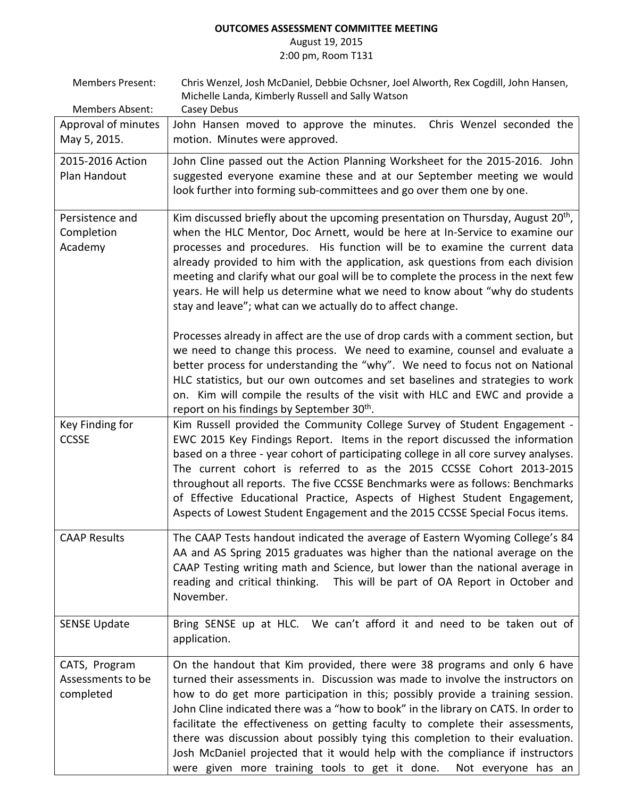## **OUTCOMES ASSESSMENT COMMITTEE MEETING**

### August 19, 2015 2:00 pm, Room T131

| <b>Members Present:</b> | Chris Wenzel, Josh McDaniel, Debbie Ochsner, Joel Alworth, Rex Cogdill, John Hansen,                                                            |
|-------------------------|-------------------------------------------------------------------------------------------------------------------------------------------------|
| Members Absent:         | Michelle Landa, Kimberly Russell and Sally Watson<br>Casey Debus                                                                                |
| Approval of minutes     | John Hansen moved to approve the minutes.<br>Chris Wenzel seconded the                                                                          |
| May 5, 2015.            | motion. Minutes were approved.                                                                                                                  |
| 2015-2016 Action        | John Cline passed out the Action Planning Worksheet for the 2015-2016. John                                                                     |
| Plan Handout            | suggested everyone examine these and at our September meeting we would<br>look further into forming sub-committees and go over them one by one. |
| Persistence and         | Kim discussed briefly about the upcoming presentation on Thursday, August $20th$ ,                                                              |
| Completion              | when the HLC Mentor, Doc Arnett, would be here at In-Service to examine our                                                                     |
| Academy                 | processes and procedures. His function will be to examine the current data                                                                      |
|                         | already provided to him with the application, ask questions from each division                                                                  |
|                         | meeting and clarify what our goal will be to complete the process in the next few                                                               |
|                         | years. He will help us determine what we need to know about "why do students<br>stay and leave"; what can we actually do to affect change.      |
|                         | Processes already in affect are the use of drop cards with a comment section, but                                                               |
|                         | we need to change this process. We need to examine, counsel and evaluate a                                                                      |
|                         | better process for understanding the "why". We need to focus not on National                                                                    |
|                         | HLC statistics, but our own outcomes and set baselines and strategies to work                                                                   |
|                         | on. Kim will compile the results of the visit with HLC and EWC and provide a<br>report on his findings by September 30 <sup>th</sup> .          |
| Key Finding for         | Kim Russell provided the Community College Survey of Student Engagement -                                                                       |
| <b>CCSSE</b>            | EWC 2015 Key Findings Report. Items in the report discussed the information                                                                     |
|                         | based on a three - year cohort of participating college in all core survey analyses.                                                            |
|                         | The current cohort is referred to as the 2015 CCSSE Cohort 2013-2015                                                                            |
|                         | throughout all reports. The five CCSSE Benchmarks were as follows: Benchmarks                                                                   |
|                         | of Effective Educational Practice, Aspects of Highest Student Engagement,                                                                       |
|                         | Aspects of Lowest Student Engagement and the 2015 CCSSE Special Focus items.                                                                    |
| <b>CAAP Results</b>     | The CAAP Tests handout indicated the average of Eastern Wyoming College's 84                                                                    |
|                         | AA and AS Spring 2015 graduates was higher than the national average on the                                                                     |
|                         | CAAP Testing writing math and Science, but lower than the national average in                                                                   |
|                         | reading and critical thinking. This will be part of OA Report in October and                                                                    |
|                         | November.                                                                                                                                       |
| <b>SENSE Update</b>     | Bring SENSE up at HLC. We can't afford it and need to be taken out of                                                                           |
|                         | application.                                                                                                                                    |
| CATS, Program           | On the handout that Kim provided, there were 38 programs and only 6 have                                                                        |
| Assessments to be       | turned their assessments in. Discussion was made to involve the instructors on                                                                  |
| completed               | how to do get more participation in this; possibly provide a training session.                                                                  |
|                         | John Cline indicated there was a "how to book" in the library on CATS. In order to                                                              |
|                         | facilitate the effectiveness on getting faculty to complete their assessments,                                                                  |
|                         | there was discussion about possibly tying this completion to their evaluation.                                                                  |
|                         | Josh McDaniel projected that it would help with the compliance if instructors<br>Not everyone has an                                            |
|                         | were given more training tools to get it done.                                                                                                  |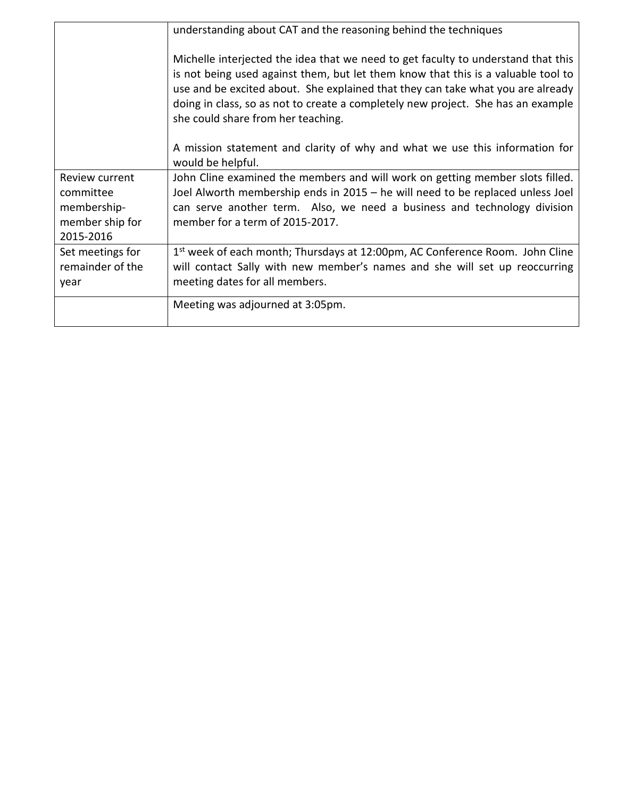|                                                                            | understanding about CAT and the reasoning behind the techniques<br>Michelle interjected the idea that we need to get faculty to understand that this<br>is not being used against them, but let them know that this is a valuable tool to<br>use and be excited about. She explained that they can take what you are already<br>doing in class, so as not to create a completely new project. She has an example<br>she could share from her teaching. |
|----------------------------------------------------------------------------|--------------------------------------------------------------------------------------------------------------------------------------------------------------------------------------------------------------------------------------------------------------------------------------------------------------------------------------------------------------------------------------------------------------------------------------------------------|
|                                                                            | A mission statement and clarity of why and what we use this information for<br>would be helpful.                                                                                                                                                                                                                                                                                                                                                       |
| Review current<br>committee<br>membership-<br>member ship for<br>2015-2016 | John Cline examined the members and will work on getting member slots filled.<br>Joel Alworth membership ends in 2015 – he will need to be replaced unless Joel<br>can serve another term. Also, we need a business and technology division<br>member for a term of 2015-2017.                                                                                                                                                                         |
| Set meetings for<br>remainder of the<br>year                               | $1st$ week of each month; Thursdays at 12:00pm, AC Conference Room. John Cline<br>will contact Sally with new member's names and she will set up reoccurring<br>meeting dates for all members.                                                                                                                                                                                                                                                         |
|                                                                            | Meeting was adjourned at 3:05pm.                                                                                                                                                                                                                                                                                                                                                                                                                       |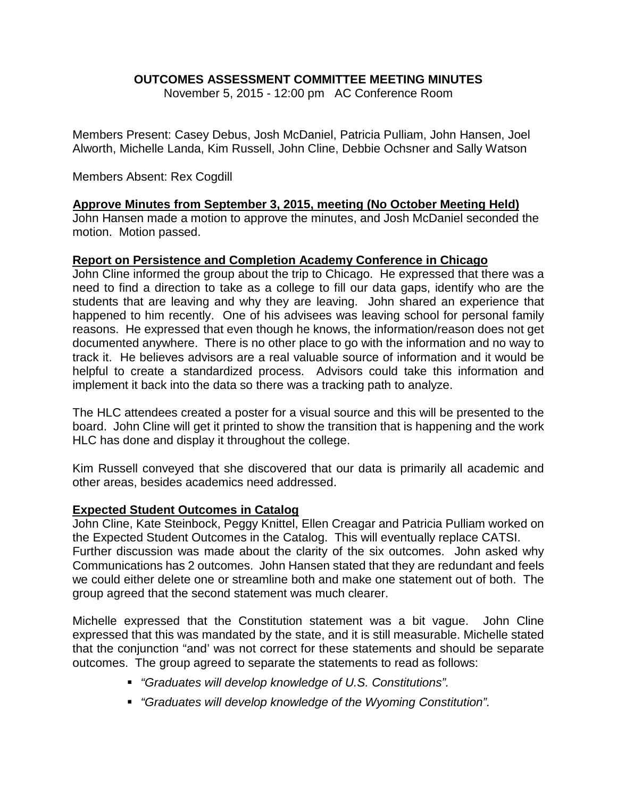# **OUTCOMES ASSESSMENT COMMITTEE MEETING MINUTES**

November 5, 2015 - 12:00 pm AC Conference Room

Members Present: Casey Debus, Josh McDaniel, Patricia Pulliam, John Hansen, Joel Alworth, Michelle Landa, Kim Russell, John Cline, Debbie Ochsner and Sally Watson

## Members Absent: Rex Cogdill

## **Approve Minutes from September 3, 2015, meeting (No October Meeting Held)**

John Hansen made a motion to approve the minutes, and Josh McDaniel seconded the motion. Motion passed.

### **Report on Persistence and Completion Academy Conference in Chicago**

John Cline informed the group about the trip to Chicago. He expressed that there was a need to find a direction to take as a college to fill our data gaps, identify who are the students that are leaving and why they are leaving. John shared an experience that happened to him recently. One of his advisees was leaving school for personal family reasons. He expressed that even though he knows, the information/reason does not get documented anywhere. There is no other place to go with the information and no way to track it. He believes advisors are a real valuable source of information and it would be helpful to create a standardized process. Advisors could take this information and implement it back into the data so there was a tracking path to analyze.

The HLC attendees created a poster for a visual source and this will be presented to the board. John Cline will get it printed to show the transition that is happening and the work HLC has done and display it throughout the college.

Kim Russell conveyed that she discovered that our data is primarily all academic and other areas, besides academics need addressed.

## **Expected Student Outcomes in Catalog**

John Cline, Kate Steinbock, Peggy Knittel, Ellen Creagar and Patricia Pulliam worked on the Expected Student Outcomes in the Catalog. This will eventually replace CATSI. Further discussion was made about the clarity of the six outcomes. John asked why Communications has 2 outcomes. John Hansen stated that they are redundant and feels we could either delete one or streamline both and make one statement out of both. The group agreed that the second statement was much clearer.

Michelle expressed that the Constitution statement was a bit vague. John Cline expressed that this was mandated by the state, and it is still measurable. Michelle stated that the conjunction "and' was not correct for these statements and should be separate outcomes. The group agreed to separate the statements to read as follows:

- *"Graduates will develop knowledge of U.S. Constitutions".*
- *"Graduates will develop knowledge of the Wyoming Constitution".*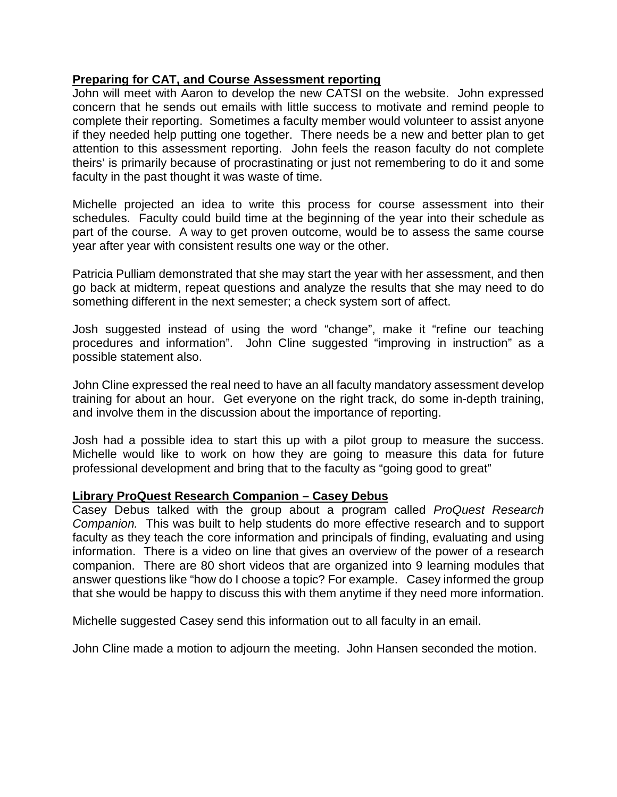## **Preparing for CAT, and Course Assessment reporting**

John will meet with Aaron to develop the new CATSI on the website. John expressed concern that he sends out emails with little success to motivate and remind people to complete their reporting. Sometimes a faculty member would volunteer to assist anyone if they needed help putting one together. There needs be a new and better plan to get attention to this assessment reporting. John feels the reason faculty do not complete theirs' is primarily because of procrastinating or just not remembering to do it and some faculty in the past thought it was waste of time.

Michelle projected an idea to write this process for course assessment into their schedules. Faculty could build time at the beginning of the year into their schedule as part of the course. A way to get proven outcome, would be to assess the same course year after year with consistent results one way or the other.

Patricia Pulliam demonstrated that she may start the year with her assessment, and then go back at midterm, repeat questions and analyze the results that she may need to do something different in the next semester; a check system sort of affect.

Josh suggested instead of using the word "change", make it "refine our teaching procedures and information". John Cline suggested "improving in instruction" as a possible statement also.

John Cline expressed the real need to have an all faculty mandatory assessment develop training for about an hour. Get everyone on the right track, do some in-depth training, and involve them in the discussion about the importance of reporting.

Josh had a possible idea to start this up with a pilot group to measure the success. Michelle would like to work on how they are going to measure this data for future professional development and bring that to the faculty as "going good to great"

## **Library ProQuest Research Companion – Casey Debus**

Casey Debus talked with the group about a program called *ProQuest Research Companion.* This was built to help students do more effective research and to support faculty as they teach the core information and principals of finding, evaluating and using information. There is a video on line that gives an overview of the power of a research companion. There are 80 short videos that are organized into 9 learning modules that answer questions like "how do I choose a topic? For example. Casey informed the group that she would be happy to discuss this with them anytime if they need more information.

Michelle suggested Casey send this information out to all faculty in an email.

John Cline made a motion to adjourn the meeting. John Hansen seconded the motion.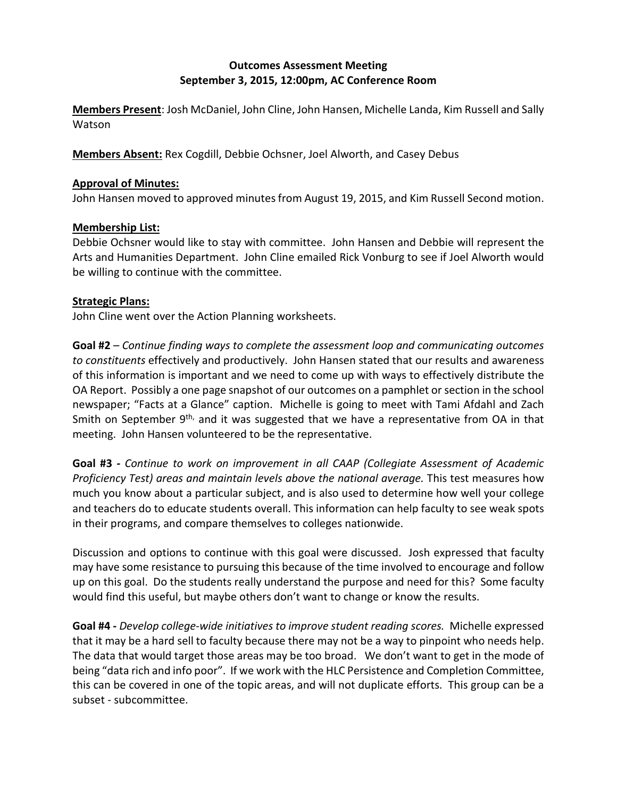# **Outcomes Assessment Meeting September 3, 2015, 12:00pm, AC Conference Room**

**Members Present**: Josh McDaniel, John Cline, John Hansen, Michelle Landa, Kim Russell and Sally **Watson** 

**Members Absent:** Rex Cogdill, Debbie Ochsner, Joel Alworth, and Casey Debus

#### **Approval of Minutes:**

John Hansen moved to approved minutes from August 19, 2015, and Kim Russell Second motion.

#### **Membership List:**

Debbie Ochsner would like to stay with committee. John Hansen and Debbie will represent the Arts and Humanities Department. John Cline emailed Rick Vonburg to see if Joel Alworth would be willing to continue with the committee.

### **Strategic Plans:**

John Cline went over the Action Planning worksheets.

**Goal #2** – *Continue finding ways to complete the assessment loop and communicating outcomes to constituents* effectively and productively. John Hansen stated that our results and awareness of this information is important and we need to come up with ways to effectively distribute the OA Report. Possibly a one page snapshot of our outcomes on a pamphlet or section in the school newspaper; "Facts at a Glance" caption. Michelle is going to meet with Tami Afdahl and Zach Smith on September  $9<sup>th</sup>$ , and it was suggested that we have a representative from OA in that meeting. John Hansen volunteered to be the representative.

**Goal #3** *- Continue to work on improvement in all CAAP (Collegiate Assessment of Academic Proficiency Test) areas and maintain levels above the national average.* This test measures how much you know about a particular subject, and is also used to determine how well your college and teachers do to educate students overall. This information can help faculty to see weak spots in their programs, and compare themselves to colleges nationwide.

Discussion and options to continue with this goal were discussed. Josh expressed that faculty may have some resistance to pursuing this because of the time involved to encourage and follow up on this goal. Do the students really understand the purpose and need for this? Some faculty would find this useful, but maybe others don't want to change or know the results.

**Goal #4 -** *Develop college-wide initiatives to improve student reading scores.* Michelle expressed that it may be a hard sell to faculty because there may not be a way to pinpoint who needs help. The data that would target those areas may be too broad. We don't want to get in the mode of being "data rich and info poor". If we work with the HLC Persistence and Completion Committee, this can be covered in one of the topic areas, and will not duplicate efforts. This group can be a subset - subcommittee.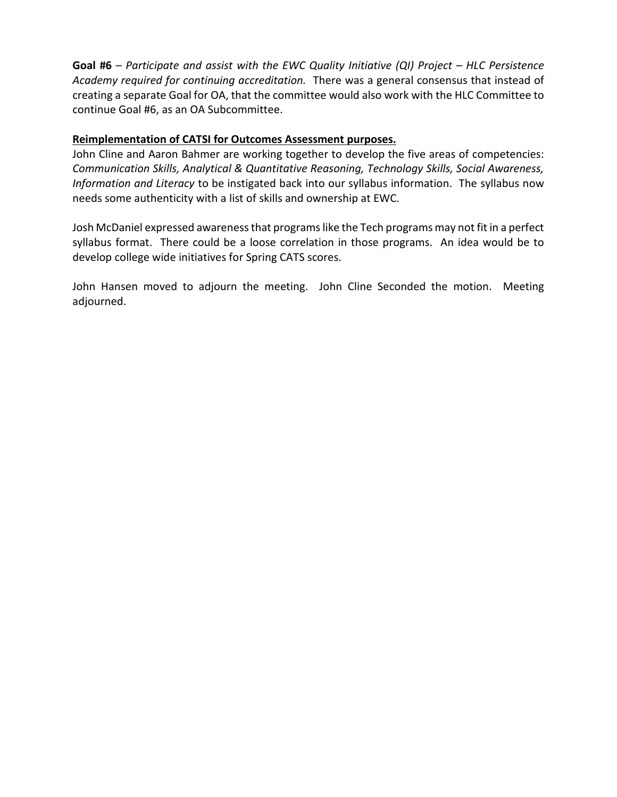**Goal #6** – *Participate and assist with the EWC Quality Initiative (QI) Project – HLC Persistence Academy required for continuing accreditation.* There was a general consensus that instead of creating a separate Goal for OA, that the committee would also work with the HLC Committee to continue Goal #6, as an OA Subcommittee.

#### **Reimplementation of CATSI for Outcomes Assessment purposes.**

John Cline and Aaron Bahmer are working together to develop the five areas of competencies: *Communication Skills, Analytical & Quantitative Reasoning, Technology Skills, Social Awareness, Information and Literacy* to be instigated back into our syllabus information. The syllabus now needs some authenticity with a list of skills and ownership at EWC.

Josh McDaniel expressed awareness that programs like the Tech programs may not fit in a perfect syllabus format. There could be a loose correlation in those programs. An idea would be to develop college wide initiatives for Spring CATS scores.

John Hansen moved to adjourn the meeting. John Cline Seconded the motion. Meeting adjourned.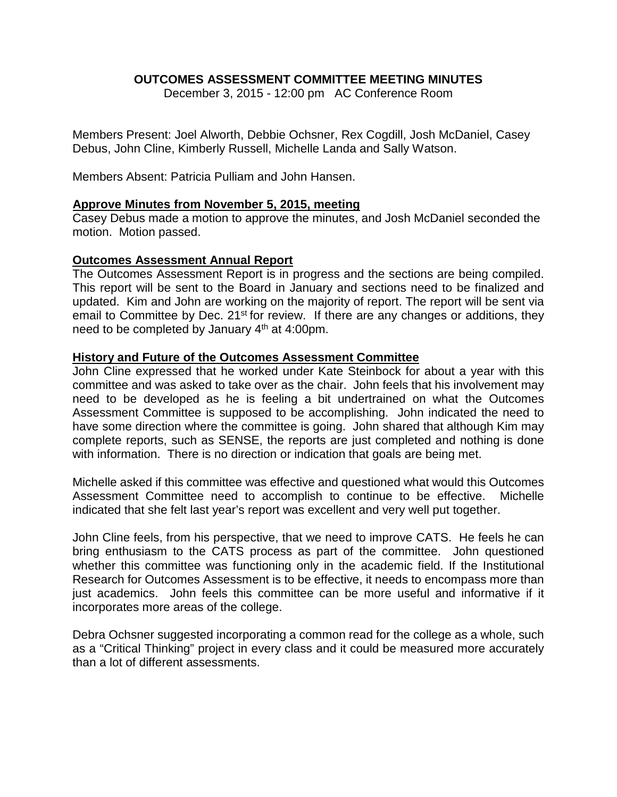## **OUTCOMES ASSESSMENT COMMITTEE MEETING MINUTES**

December 3, 2015 - 12:00 pm AC Conference Room

Members Present: Joel Alworth, Debbie Ochsner, Rex Cogdill, Josh McDaniel, Casey Debus, John Cline, Kimberly Russell, Michelle Landa and Sally Watson.

Members Absent: Patricia Pulliam and John Hansen.

#### **Approve Minutes from November 5, 2015, meeting**

Casey Debus made a motion to approve the minutes, and Josh McDaniel seconded the motion. Motion passed.

#### **Outcomes Assessment Annual Report**

The Outcomes Assessment Report is in progress and the sections are being compiled. This report will be sent to the Board in January and sections need to be finalized and updated. Kim and John are working on the majority of report. The report will be sent via email to Committee by Dec. 21<sup>st</sup> for review. If there are any changes or additions, they need to be completed by January 4<sup>th</sup> at 4:00pm.

#### **History and Future of the Outcomes Assessment Committee**

John Cline expressed that he worked under Kate Steinbock for about a year with this committee and was asked to take over as the chair. John feels that his involvement may need to be developed as he is feeling a bit undertrained on what the Outcomes Assessment Committee is supposed to be accomplishing. John indicated the need to have some direction where the committee is going. John shared that although Kim may complete reports, such as SENSE, the reports are just completed and nothing is done with information. There is no direction or indication that goals are being met.

Michelle asked if this committee was effective and questioned what would this Outcomes Assessment Committee need to accomplish to continue to be effective. Michelle indicated that she felt last year's report was excellent and very well put together.

John Cline feels, from his perspective, that we need to improve CATS. He feels he can bring enthusiasm to the CATS process as part of the committee. John questioned whether this committee was functioning only in the academic field. If the Institutional Research for Outcomes Assessment is to be effective, it needs to encompass more than just academics. John feels this committee can be more useful and informative if it incorporates more areas of the college.

Debra Ochsner suggested incorporating a common read for the college as a whole, such as a "Critical Thinking" project in every class and it could be measured more accurately than a lot of different assessments.